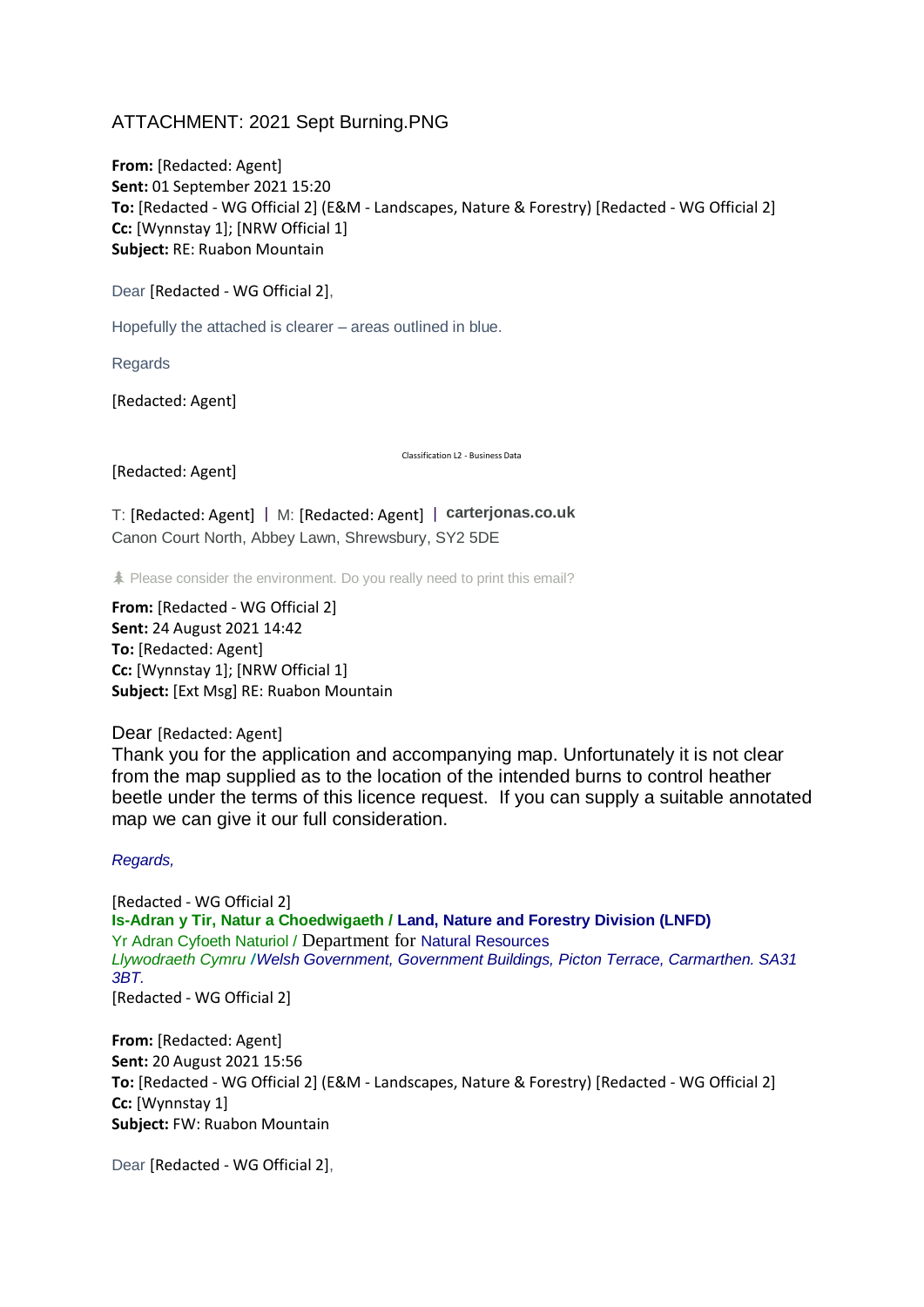## ATTACHMENT: 2021 Sept Burning.PNG

**From:** [Redacted: Agent] **Sent:** 01 September 2021 15:20 **To:** [Redacted - WG Official 2] (E&M - Landscapes, Nature & Forestry) [Redacted - WG Official 2] **Cc:** [Wynnstay 1]; [NRW Official 1] **Subject:** RE: Ruabon Mountain

Dear [Redacted - WG Official 2],

Hopefully the attached is clearer – areas outlined in blue.

Regards

[Redacted: Agent]

[Redacted: Agent]

Classification L2 - Business Data

T: [Redacted: Agent] | M: [Redacted: Agent] | **[carterjonas.co.uk](https://eur01.safelinks.protection.outlook.com/?url=http%3A%2F%2Fcarterjonas.co.uk%2F&data=04%7C01%7Cgareth.davies3%40gov.wales%7C55e9bb4276d84204542508d96d539d75%7Ca2cc36c592804ae78887d06dab89216b%7C0%7C0%7C637661028168963716%7CUnknown%7CTWFpbGZsb3d8eyJWIjoiMC4wLjAwMDAiLCJQIjoiV2luMzIiLCJBTiI6Ik1haWwiLCJXVCI6Mn0%3D%7C1000&sdata=DohWMx7H4ITFvyw24ThygaCXy5SGxd72oQzw1AHk2R4%3D&reserved=0)** Canon Court North, Abbey Lawn, Shrewsbury, SY2 5DE

Please consider the environment. Do you really need to print this email?

**From:** [Redacted - WG Official 2] **Sent:** 24 August 2021 14:42 **To:** [Redacted: Agent] **Cc:** [Wynnstay 1]; [NRW Official 1] **Subject:** [Ext Msg] RE: Ruabon Mountain

Dear [Redacted: Agent]

Thank you for the application and accompanying map. Unfortunately it is not clear from the map supplied as to the location of the intended burns to control heather beetle under the terms of this licence request. If you can supply a suitable annotated map we can give it our full consideration.

*Regards,*

[Redacted - WG Official 2] **Is-Adran y Tir, Natur a Choedwigaeth / Land, Nature and Forestry Division (LNFD)** Yr Adran Cyfoeth Naturiol / Department for Natural Resources *Llywodraeth Cymru* **/***Welsh Government, Government Buildings, Picton Terrace, Carmarthen. SA31 3BT.* [Redacted - WG Official 2]

**From:** [Redacted: Agent] **Sent:** 20 August 2021 15:56 **To:** [Redacted - WG Official 2] (E&M - Landscapes, Nature & Forestry) [Redacted - WG Official 2] **Cc:** [Wynnstay 1] **Subject:** FW: Ruabon Mountain

Dear [Redacted - WG Official 2],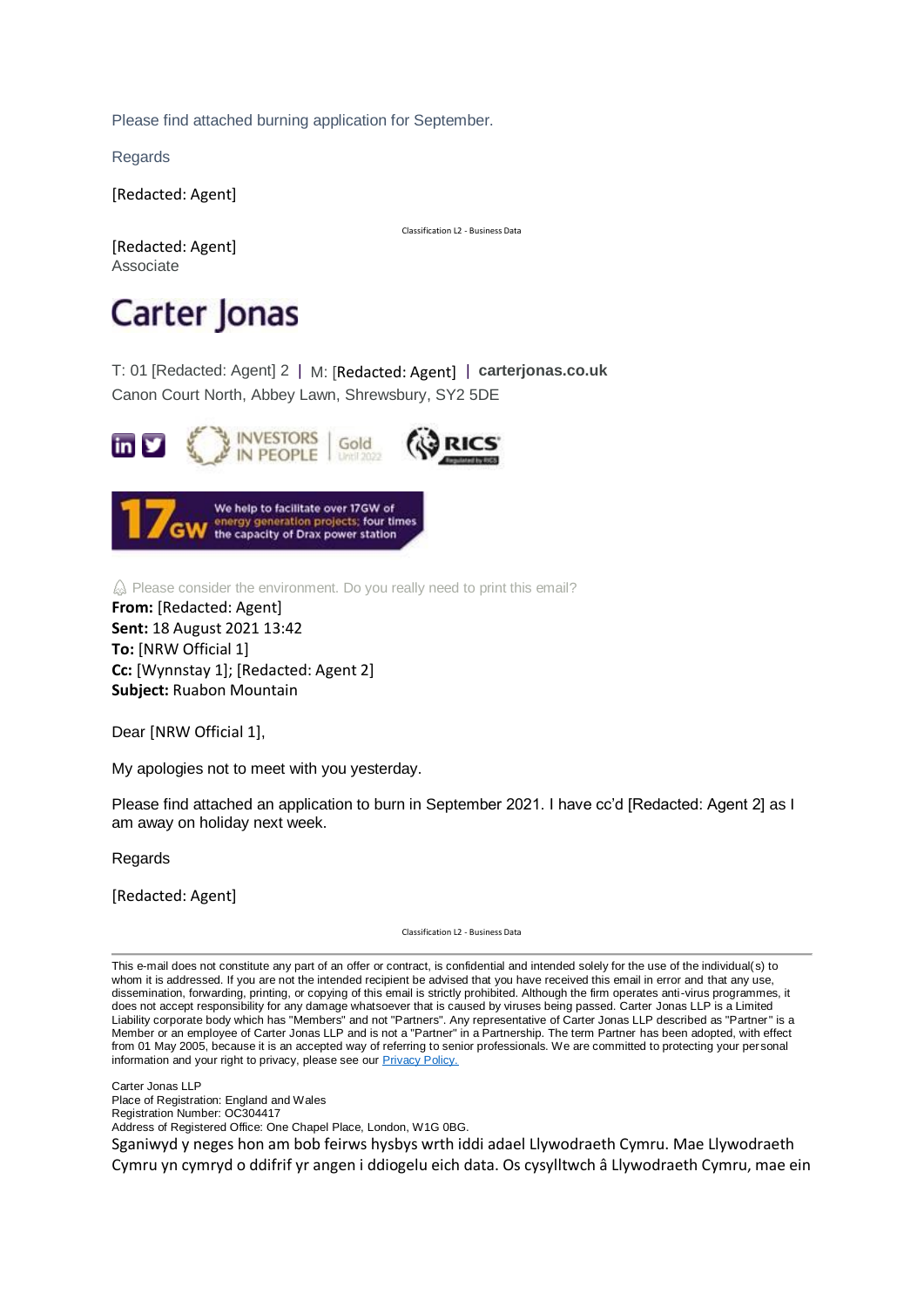Please find attached burning application for September.

**Regards** 

[Redacted: Agent]

Classification L2 - Business Data

[Redacted: Agent] Associate

## Carter Jonas

T: [01 \[Redacted: Agent\] 2](tel:01743%20213262%20x3112) | M: [Redacted: Agent] | **[carterjonas.co.uk](https://eur01.safelinks.protection.outlook.com/?url=http%3A%2F%2Fcarterjonas.co.uk%2F&data=04%7C01%7Cgareth.davies3%40gov.wales%7C55e9bb4276d84204542508d96d539d75%7Ca2cc36c592804ae78887d06dab89216b%7C0%7C0%7C637661028168973676%7CUnknown%7CTWFpbGZsb3d8eyJWIjoiMC4wLjAwMDAiLCJQIjoiV2luMzIiLCJBTiI6Ik1haWwiLCJXVCI6Mn0%3D%7C1000&sdata=BUeO0%2BKcm5rQ6HkZYKt28e3IiW8is%2B2pfkhrJ4R1kbQ%3D&reserved=0)** Canon Court North, Abbey Lawn, Shrewsbury, SY2 5DE



 $\hat{\omega}$  Please consider the environment. Do you really need to print this email?

**From:** [Redacted: Agent] **Sent:** 18 August 2021 13:42 **To:** [NRW Official 1] **Cc:** [Wynnstay 1]; [Redacted: Agent 2] **Subject:** Ruabon Mountain

Dear [NRW Official 1],

My apologies not to meet with you yesterday.

Please find attached an application to burn in September 2021. I have cc'd [Redacted: Agent 2] as I am away on holiday next week.

**Regards** 

[Redacted: Agent]

Classification L2 - Business Data

This e-mail does not constitute any part of an offer or contract, is confidential and intended solely for the use of the individual(s) to whom it is addressed. If you are not the intended recipient be advised that you have received this email in error and that any use, dissemination, forwarding, printing, or copying of this email is strictly prohibited. Although the firm operates anti-virus programmes, it does not accept responsibility for any damage whatsoever that is caused by viruses being passed. Carter Jonas LLP is a Limited Liability corporate body which has "Members" and not "Partners". Any representative of Carter Jonas LLP described as "Partner" is a Member or an employee of Carter Jonas LLP and is not a "Partner" in a Partnership. The term Partner has been adopted, with effect from 01 May 2005, because it is an accepted way of referring to senior professionals. We are committed to protecting your personal information and your right to privacy, please see our **Privacy Policy**.

Carter Jonas LLP

Place of Registration: England and Wales

Registration Number: OC304417 Address of Registered Office: One Chapel Place, London, W1G 0BG.

Sganiwyd y neges hon am bob feirws hysbys wrth iddi adael Llywodraeth Cymru. Mae Llywodraeth Cymru yn cymryd o ddifrif yr angen i ddiogelu eich data. Os cysylltwch â Llywodraeth Cymru, mae ein